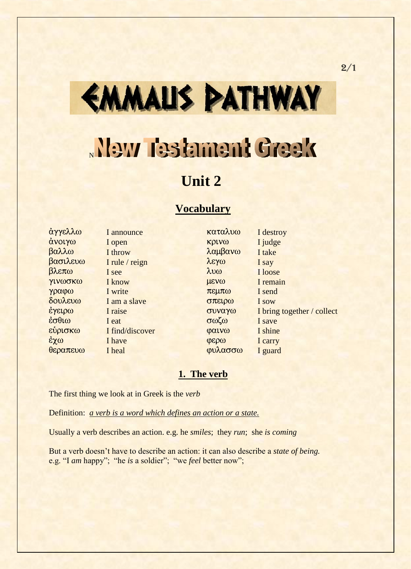# EMMALIS PATHWAY

## New Testament Greek

### **Unit 2**

#### **Vocabulary**

 $\theta$ εραπευω I heal φυλασσω I guard

άγγελλω I announce καταλυω I destroy άνοιγω I open **κρινω** I judge  $\beta$ αλλω I throw  $\lambda$ αμβανω I take  $\beta$  $\alpha$  $\sigma$  $\lambda$  $\epsilon$  $\gamma$  $\omega$  I say I say  $\beta \lambda$ επω I see luw  $\lambda$ υω I loose γινωσκω I know μενω I remain  $\gamma \rho \alpha \phi \omega$  I write  $\pi \epsilon \mu \pi \omega$  I send  $\delta$ ov $\lambda$ ev $\omega$  I am a slave  $\sigma$  $\pi$ et $\rho$  $\omega$  I sow εσθιω I eat σωζω I save  $\epsilon \dot{\psi}$ ptok $\omega$  I find/discover  $\psi$   $\alpha \dot{\psi}$   $\omega$ έχω I have ferm **φερω** I carry

 $\frac{\partial \phi}{\partial x}$  I raise superversion is bring together / collect

#### **1. The verb**

The first thing we look at in Greek is the *verb*

Definition: *a verb is a word which defines an action or a state.*

Usually a verb describes an action. e.g. he *smiles*; they *run*; she *is coming*

But a verb doesn't have to describe an action: it can also describe a *state of being.*  e.g. "I *am* happy"; "he *is* a soldier"; "we *feel* better now";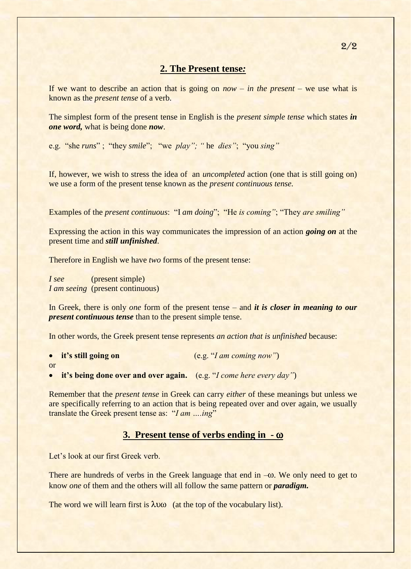#### **2. The Present tense***:*

If we want to describe an action that is going on *now* – *in the present* – we use what is known as the *present tense* of a verb.

The simplest form of the present tense in English is the *present simple tense* which states *in one word,* what is being done *now*.

e.g. "she *runs*" ; "they *smile*"; "we *play"; "* he *dies"*; "you *sing"*

If, however, we wish to stress the idea of an *uncompleted* action (one that is still going on) we use a form of the present tense known as the *present continuous tense.*

Examples of the *present continuous*: "I *am doing*"; "He *is coming"*; "They *are smiling"*

Expressing the action in this way communicates the impression of an action *going on* at the present time and *still unfinished*.

Therefore in English we have *two* forms of the present tense:

*I see* (present simple) *I am seeing* (present continuous)

In Greek, there is only *one* form of the present tense – and *it is closer in meaning to our present continuous tense* than to the present simple tense.

In other words, the Greek present tense represents *an action that is unfinished* because:

|    | • it's still going on                                                    | (e.g., "I am coming now") |
|----|--------------------------------------------------------------------------|---------------------------|
| or |                                                                          |                           |
|    | $\bullet$ it's heing dans even and even egain (e.g. "Leave here even day |                           |

• **it's being done over and over again.** (e.g. "*I come here every day"*)

Remember that the *present tense* in Greek can carry *either* of these meanings but unless we are specifically referring to an action that is being repeated over and over again, we usually translate the Greek present tense as: "*I am ….ing*"

#### **3. Present tense of verbs ending in - ω**

Let's look at our first Greek verb.

There are hundreds of verbs in the Greek language that end in  $-\omega$ . We only need to get to know *one* of them and the others will all follow the same pattern or *paradigm.*

The word we will learn first is  $\lambda v \omega$  (at the top of the vocabulary list).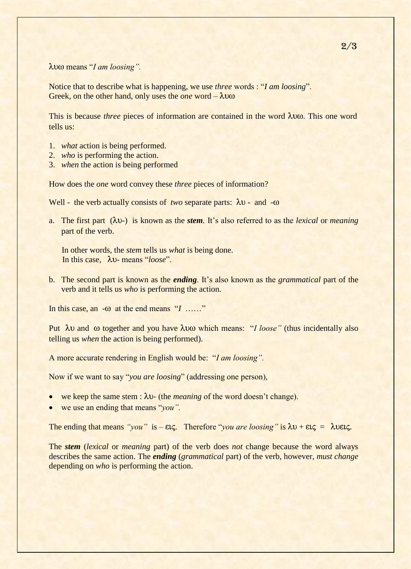#### $\lambda$ υω means "*I am loosing*".

Notice that to describe what is happening, we use *three* words : "*I am loosing*". Greek, on the other hand, only uses the *one* word –  $\lambda v \omega$ 

This is because *three* pieces of information are contained in the word  $\lambda$  uso. This one word tells us:

- 1. *what* action is being performed.
- 2. *who* is performing the action.
- 3. *when* the action is being performed

How does the *one* word convey these *three* pieces of information?

Well - the verb actually consists of *two* separate parts:  $\lambda v$  - and - $\omega$ 

a. The first part  $(\lambda v)$  is known as the *stem*. It's also referred to as the *lexical* or *meaning* part of the verb.

 In other words, the *stem* tells us *what* is being done. In this case, λυ- means "*loose*".

b. The second part is known as the *ending*. It's also known as the *grammatical* part of the verb and it tells us *who* is performing the action.

In this case, an  $-\omega$  at the end means "*I* ……"

Put  $\lambda v$  and  $\omega$  together and you have  $\lambda v \omega$  which means: "*I loose*" (thus incidentally also telling us *when* the action is being performed).

A more accurate rendering in English would be: "*I am loosing".*

Now if we want to say "*you are loosing*" (addressing one person),

- we keep the same stem :  $\lambda v$  (the *meaning* of the word doesn't change).
- we use an ending that means "*you".*

The ending that means "*you*" is –  $\epsilon \iota \zeta$ . Therefore "*you are loosing*" is  $\lambda \nu + \epsilon \iota \zeta = \lambda \nu \epsilon \iota \zeta$ .

The *stem* (*lexical* or *meaning* part) of the verb does *not* change because the word always describes the same action. The *ending* (*grammatical* part) of the verb, however, *must change* depending on *who* is performing the action.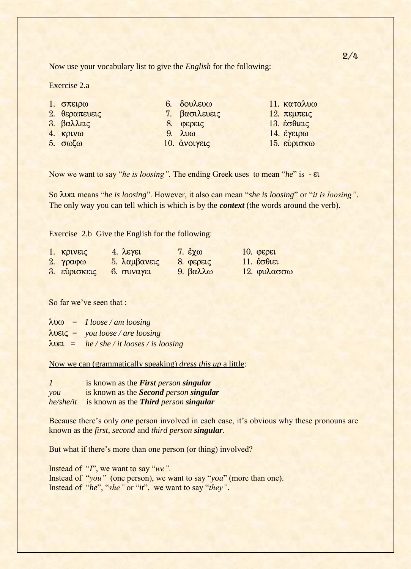Now use your vocabulary list to give the *English* for the following:

Exercise 2.a

| 1. $\sigma \pi \epsilon \mu \omega$ | $6. \delta$ ov $\lambda$ and $\omega$ | $11.$ καταλυω                             |
|-------------------------------------|---------------------------------------|-------------------------------------------|
| 2. θεραπευεις                       | 7. βασιλευεις                         | $12.$ πεμπεις                             |
| 3. βαλλεις                          | $8.$ $\phi$ ερεις                     | 13. $\dot{\epsilon}$ $\sigma \theta$ LELC |
| 4. $K\rho V\omega$                  | $9. \lambda \nu \omega$               | $14.$ έγειρω                              |
| $5.$ σωζω                           | 10. άνοιγεις                          | $15.$ εύρισκω                             |

Now we want to say "*he is loosing".* The ending Greek uses to mean "*he*" is - ei

So luei means "*he is loosing*". However, it also can mean "*she is loosing*" or "*it is loosing"*. The only way you can tell which is which is by the *context* (the words around the verb).

Exercise 2.b Give the English for the following:

| $1.$ Kpivels                           | $4. \lambda$ Eyel          | 7. $\epsilon \chi \omega$ | $10.$ $\varphi$ $\epsilon$ $\rho$ $\epsilon$ $\iota$ |
|----------------------------------------|----------------------------|---------------------------|------------------------------------------------------|
| 2. $\gamma \rho \alpha \varphi \omega$ | 5. λαμβανεις               | 8. φερεις                 | 11. $\dot{\epsilon}$ $\sigma \theta$ iei             |
| $3.$ εύρισκεις                         | $6.$ $\sigma$ <i>vayει</i> | 9. βαλλω                  | 12. φυλασσω                                          |

So far we've seen that :

| $\lambda v \omega = I$ loose / am loosing                                                                              |  |
|------------------------------------------------------------------------------------------------------------------------|--|
| $\lambda \nu \varepsilon \zeta = \nu \frac{\partial u}{\partial \rho} \frac{\partial \nu}{\partial \zeta}$ are loosing |  |
| $\lambda$ UEL = he / she / it looses / is loosing                                                                      |  |

Now we can (grammatically speaking) *dress this up* a little:

| $\mathcal{I}$  | is known as the <b>First</b> person singular  |
|----------------|-----------------------------------------------|
| $\mathit{you}$ | is known as the <i>Second person singular</i> |
| he/she/it      | is known as the Third person singular         |

Because there's only *one* person involved in each case, it's obvious why these pronouns are known as the *first*, *second* and *third person singular*.

But what if there's more than one person (or thing) involved?

Instead of "*I*", we want to say "*we".* Instead of "*you"* (one person), we want to say "*you*" (more than one). Instead of "*he*", "*she"* or "*it*", we want to say "*they"*.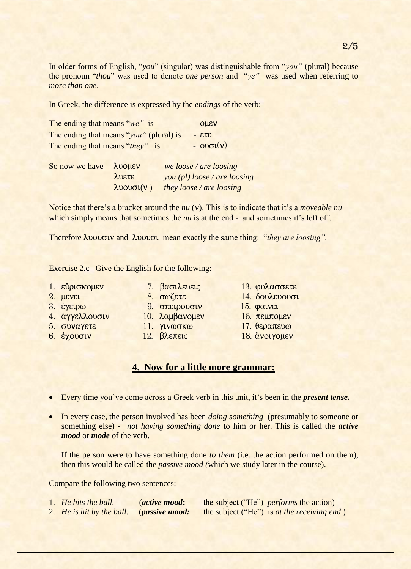In older forms of English, "*you*" (singular) was distinguishable from "*you"* (plural) because the pronoun "*thou*" was used to denote *one person* and "*ye"* was used when referring to *more than one*.

In Greek, the difference is expressed by the *endings* of the verb:

| The ending that means "we" is           | $-$ OHEV                  |
|-----------------------------------------|---------------------------|
| The ending that means "you" (plural) is | $ 273 -$                  |
| The ending that means "they" is         | $ \omega \sigma \iota(v)$ |

| So now we have $\lambda$ vouev |                    | we loose / are loosing               |
|--------------------------------|--------------------|--------------------------------------|
|                                | λυετε              | $\gamma$ ou (pl) loose / are loosing |
|                                | $\lambda$ vovol(v) | they loose / are loosing             |

Notice that there's a bracket around the *nu* (v). This is to indicate that it's a *moveable nu* which simply means that sometimes the *nu* is at the end - and sometimes it's left off.

Therefore  $\lambda$ **vovotv** and  $\lambda$ **vovot** mean exactly the same thing: "*they are loosing*".

Exercise 2.c Give the English for the following:

- 
- 
- 
- 4. άγγελλουσιν 10. λαμβανομεν 16. πεμπομεν
- $5.$  συναγετε 11. γινωσκω 17. θεραπευω
- 
- 
- 
- 3.  $\epsilon$ γειρω 9. σπειρουσιν 15. φαινει
	-
	-
	-
- 1. εύρισκομεν 7. βασιλευεις 13. φυλασσετε
- 2. HEVEI 8. SWIETE 14. SOULEVOUSI
	-
	-
	-
- 6. έχουσιν 12. βλεπεις 18. άνοιγομεν

#### **4. Now for a little more grammar:**

- Every time you've come across a Greek verb in this unit, it's been in the *present tense.*
- In every case, the person involved has been *doing something* (presumably to someone or something else) - *not having something done* to him or her. This is called the *active mood* or *mode* of the verb.

If the person were to have something done *to them* (i.e. the action performed on them), then this would be called the *passive mood (*which we study later in the course).

Compare the following two sentences:

- 
- 

1. *He hits the ball.* (*active mood***:** the subject ("He") *performs* the action) 2. *He is hit by the ball*. (*passive mood:* the subject ("He") is *at the receiving end* )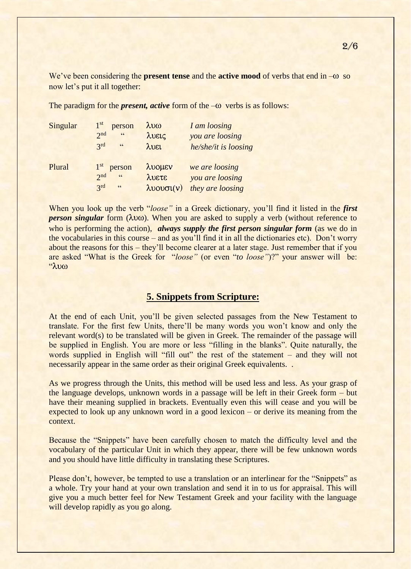We've been considering the **present tense** and the **active mood** of verbs that end in – $\omega$  so now let's put it all together:

Singular  $1<sup>st</sup>$ person λυω *I am loosing*  2  $2nd$ "  $\lambda$ veig *you are loosing* 3 rd  $\lambda$ vel *he/she/it is loosing* Plural 1<sup>st</sup> person  $\lambda$ vouev we are loosing 2  $2<sub>nd</sub>$  " luete *you are loosing* 3 3rd  $\lambda$ vov $\sigma$ l(v) *they are loosing* 

The paradigm for the *present, active* form of the  $-\omega$  verbs is as follows:

When you look up the verb "*loose"* in a Greek dictionary, you'll find it listed in the *first person singular* form  $(\lambda v\omega)$ . When you are asked to supply a verb (without reference to who is performing the action), *always supply the first person singular form* (as we do in the vocabularies in this course – and as you'll find it in all the dictionaries etc). Don't worry about the reasons for this – they'll become clearer at a later stage. Just remember that if you are asked "What is the Greek for "*loose"* (or even "*to loose"*)?" your answer will be:  $\alpha$ 

#### **5. Snippets from Scripture:**

At the end of each Unit, you'll be given selected passages from the New Testament to translate. For the first few Units, there'll be many words you won't know and only the relevant word(s) to be translated will be given in Greek. The remainder of the passage will be supplied in English. You are more or less "filling in the blanks". Quite naturally, the words supplied in English will "fill out" the rest of the statement – and they will not necessarily appear in the same order as their original Greek equivalents...

As we progress through the Units, this method will be used less and less. As your grasp of the language develops, unknown words in a passage will be left in their Greek form – but have their meaning supplied in brackets. Eventually even this will cease and you will be expected to look up any unknown word in a good lexicon – or derive its meaning from the context.

Because the "Snippets" have been carefully chosen to match the difficulty level and the vocabulary of the particular Unit in which they appear, there will be few unknown words and you should have little difficulty in translating these Scriptures.

Please don't, however, be tempted to use a translation or an interlinear for the "Snippets" as a whole. Try your hand at your own translation and send it in to us for appraisal. This will give you a much better feel for New Testament Greek and your facility with the language will develop rapidly as you go along.